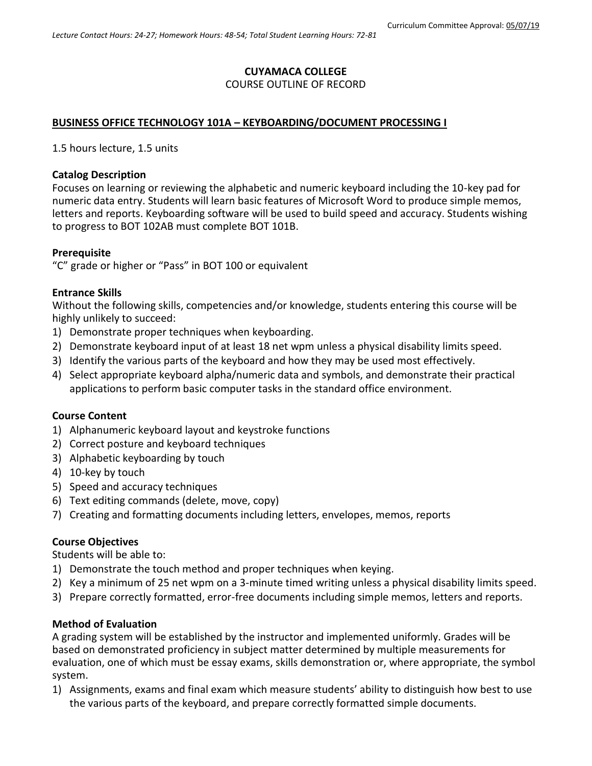# **CUYAMACA COLLEGE**

# COURSE OUTLINE OF RECORD

# **BUSINESS OFFICE TECHNOLOGY 101A – KEYBOARDING/DOCUMENT PROCESSING I**

1.5 hours lecture, 1.5 units

# **Catalog Description**

Focuses on learning or reviewing the alphabetic and numeric keyboard including the 10-key pad for numeric data entry. Students will learn basic features of Microsoft Word to produce simple memos, letters and reports. Keyboarding software will be used to build speed and accuracy. Students wishing to progress to BOT 102AB must complete BOT 101B.

## **Prerequisite**

"C" grade or higher or "Pass" in BOT 100 or equivalent

## **Entrance Skills**

Without the following skills, competencies and/or knowledge, students entering this course will be highly unlikely to succeed:

- 1) Demonstrate proper techniques when keyboarding.
- 2) Demonstrate keyboard input of at least 18 net wpm unless a physical disability limits speed.
- 3) Identify the various parts of the keyboard and how they may be used most effectively.
- 4) Select appropriate keyboard alpha/numeric data and symbols, and demonstrate their practical applications to perform basic computer tasks in the standard office environment.

# **Course Content**

- 1) Alphanumeric keyboard layout and keystroke functions
- 2) Correct posture and keyboard techniques
- 3) Alphabetic keyboarding by touch
- 4) 10-key by touch
- 5) Speed and accuracy techniques
- 6) Text editing commands (delete, move, copy)
- 7) Creating and formatting documents including letters, envelopes, memos, reports

# **Course Objectives**

Students will be able to:

- 1) Demonstrate the touch method and proper techniques when keying.
- 2) Key a minimum of 25 net wpm on a 3-minute timed writing unless a physical disability limits speed.
- 3) Prepare correctly formatted, error-free documents including simple memos, letters and reports.

#### **Method of Evaluation**

A grading system will be established by the instructor and implemented uniformly. Grades will be based on demonstrated proficiency in subject matter determined by multiple measurements for evaluation, one of which must be essay exams, skills demonstration or, where appropriate, the symbol system.

1) Assignments, exams and final exam which measure students' ability to distinguish how best to use the various parts of the keyboard, and prepare correctly formatted simple documents.